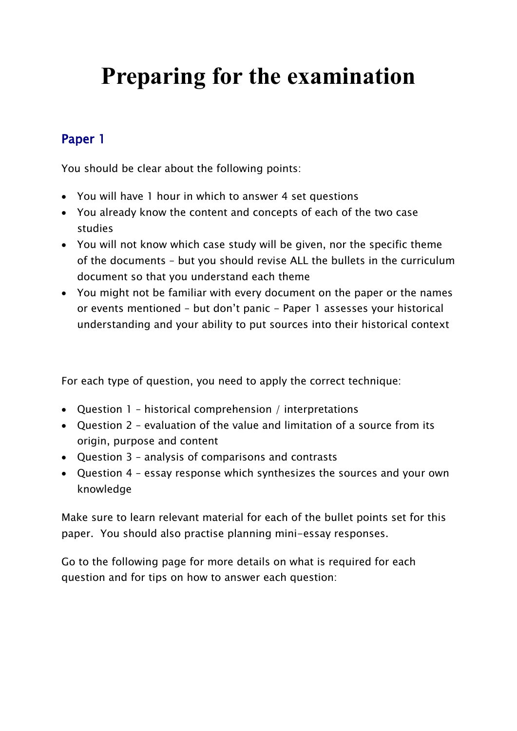# **Preparing for the examination**

## Paper 1

You should be clear about the following points:

- You will have 1 hour in which to answer 4 set questions
- You already know the content and concepts of each of the two case studies
- You will not know which case study will be given, nor the specific theme of the documents – but you should revise ALL the bullets in the curriculum document so that you understand each theme
- You might not be familiar with every document on the paper or the names or events mentioned – but don't panic - Paper 1 assesses your historical understanding and your ability to put sources into their historical context

For each type of question, you need to apply the correct technique:

- Question 1 historical comprehension / interpretations
- Question 2 evaluation of the value and limitation of a source from its origin, purpose and content
- Question 3 analysis of comparisons and contrasts
- Question 4 essay response which synthesizes the sources and your own knowledge

Make sure to learn relevant material for each of the bullet points set for this paper. You should also practise planning mini-essay responses.

Go to the following page for more details on what is required for each question and for tips on how to answer each question: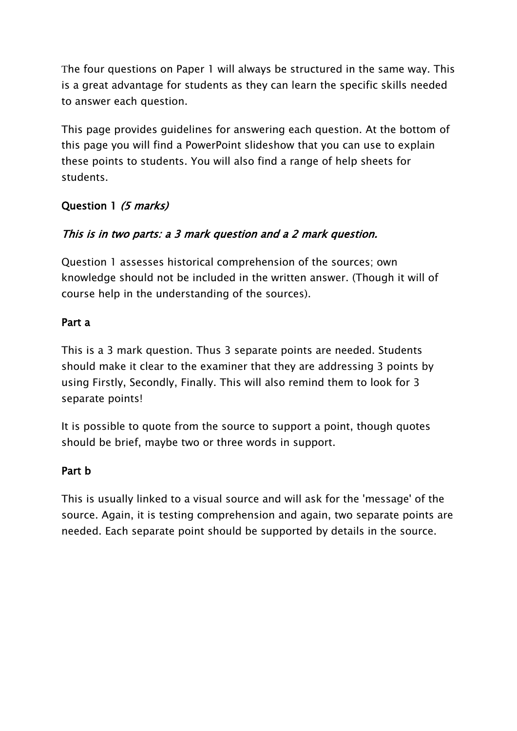The four questions on Paper 1 will always be structured in the same way. This is a great advantage for students as they can learn the specific skills needed to answer each question.

This page provides guidelines for answering each question. At the bottom of this page you will find a PowerPoint slideshow that you can use to explain these points to students. You will also find a range of help sheets for students.

## Question 1 (5 marks)

## This is in two parts: a 3 mark question and a 2 mark question.

Question 1 assesses historical comprehension of the sources; own knowledge should not be included in the written answer. (Though it will of course help in the understanding of the sources).

#### Part a

This is a 3 mark question. Thus 3 separate points are needed. Students should make it clear to the examiner that they are addressing 3 points by using Firstly, Secondly, Finally. This will also remind them to look for 3 separate points!

It is possible to quote from the source to support a point, though quotes should be brief, maybe two or three words in support.

#### Part b

This is usually linked to a visual source and will ask for the 'message' of the source. Again, it is testing comprehension and again, two separate points are needed. Each separate point should be supported by details in the source.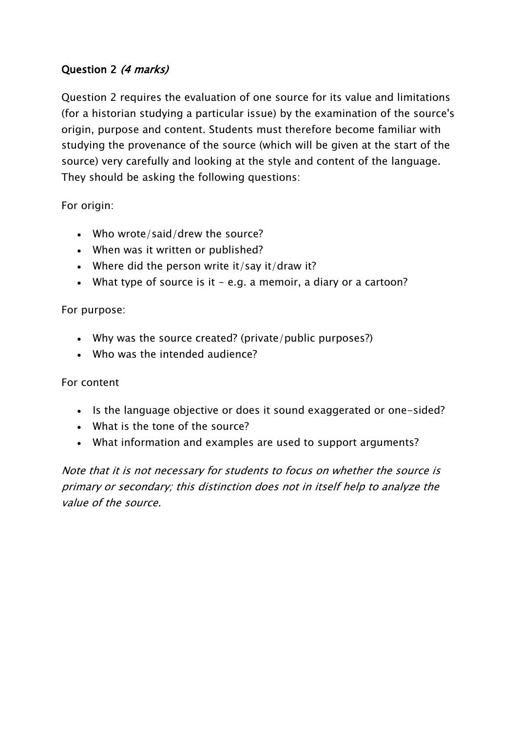## Question 2 (4 marks)

Question 2 requires the evaluation of one source for its value and limitations (for a historian studying a particular issue) by the examination of the source's origin, purpose and content. Students must therefore become familiar with studying the provenance of the source (which will be given at the start of the source) very carefully and looking at the style and content of the language. They should be asking the following questions:

For origin:

- Who wrote/said/drew the source?
- When was it written or published?
- Where did the person write it/say it/draw it?
- What type of source is it  $-$  e.g. a memoir, a diary or a cartoon?

#### For purpose:

- Why was the source created? (private/public purposes?)
- Who was the intended audience?

#### For content

- Is the language objective or does it sound exaggerated or one-sided?
- What is the tone of the source?
- What information and examples are used to support arguments?

Note that it is not necessary for students to focus on whether the source is primary or secondary; this distinction does not in itself help to analyze the value of the source.